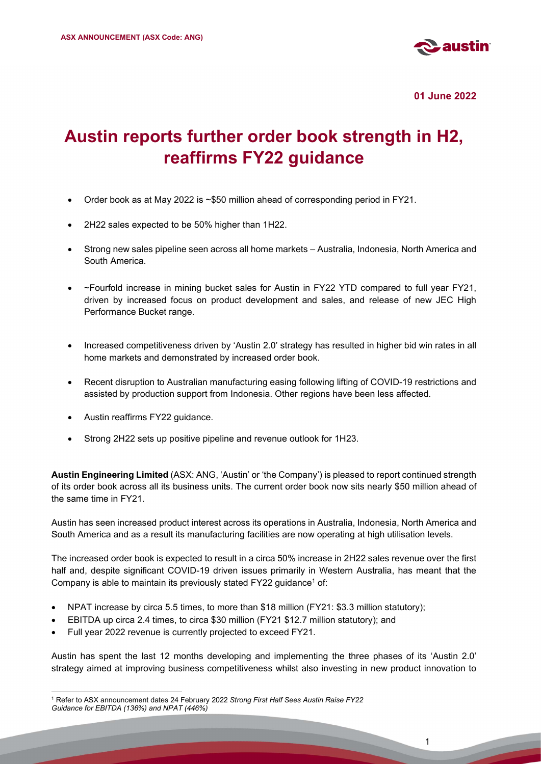

01 June 2022

# Austin reports further order book strength in H2, reaffirms FY22 guidance

- Order book as at May 2022 is ~\$50 million ahead of corresponding period in FY21.
- 2H22 sales expected to be 50% higher than 1H22.
- Strong new sales pipeline seen across all home markets Australia, Indonesia, North America and South America.
- ~Fourfold increase in mining bucket sales for Austin in FY22 YTD compared to full year FY21, driven by increased focus on product development and sales, and release of new JEC High Performance Bucket range.
- Increased competitiveness driven by 'Austin 2.0' strategy has resulted in higher bid win rates in all home markets and demonstrated by increased order book.
- Recent disruption to Australian manufacturing easing following lifting of COVID-19 restrictions and assisted by production support from Indonesia. Other regions have been less affected.
- Austin reaffirms FY22 guidance.
- Strong 2H22 sets up positive pipeline and revenue outlook for 1H23.

Austin Engineering Limited (ASX: ANG, 'Austin' or 'the Company') is pleased to report continued strength of its order book across all its business units. The current order book now sits nearly \$50 million ahead of the same time in FY21.

Austin has seen increased product interest across its operations in Australia, Indonesia, North America and South America and as a result its manufacturing facilities are now operating at high utilisation levels.

The increased order book is expected to result in a circa 50% increase in 2H22 sales revenue over the first half and, despite significant COVID-19 driven issues primarily in Western Australia, has meant that the Company is able to maintain its previously stated FY22 guidance<sup>1</sup> of:

- NPAT increase by circa 5.5 times, to more than \$18 million (FY21: \$3.3 million statutory);
- EBITDA up circa 2.4 times, to circa \$30 million (FY21 \$12.7 million statutory); and
- Full year 2022 revenue is currently projected to exceed FY21.

Austin has spent the last 12 months developing and implementing the three phases of its 'Austin 2.0' strategy aimed at improving business competitiveness whilst also investing in new product innovation to

<sup>&</sup>lt;sup>1</sup> Refer to ASX announcement dates 24 February 2022 Strong First Half Sees Austin Raise FY22 Guidance for EBITDA (136%) and NPAT (446%)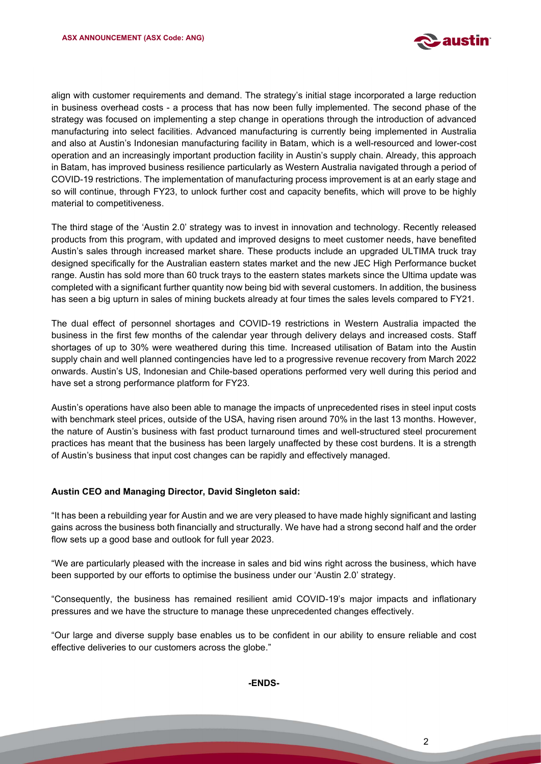

align with customer requirements and demand. The strategy's initial stage incorporated a large reduction in business overhead costs - a process that has now been fully implemented. The second phase of the strategy was focused on implementing a step change in operations through the introduction of advanced manufacturing into select facilities. Advanced manufacturing is currently being implemented in Australia and also at Austin's Indonesian manufacturing facility in Batam, which is a well-resourced and lower-cost operation and an increasingly important production facility in Austin's supply chain. Already, this approach in Batam, has improved business resilience particularly as Western Australia navigated through a period of COVID-19 restrictions. The implementation of manufacturing process improvement is at an early stage and so will continue, through FY23, to unlock further cost and capacity benefits, which will prove to be highly material to competitiveness.

The third stage of the 'Austin 2.0' strategy was to invest in innovation and technology. Recently released products from this program, with updated and improved designs to meet customer needs, have benefited Austin's sales through increased market share. These products include an upgraded ULTIMA truck tray designed specifically for the Australian eastern states market and the new JEC High Performance bucket range. Austin has sold more than 60 truck trays to the eastern states markets since the Ultima update was completed with a significant further quantity now being bid with several customers. In addition, the business has seen a big upturn in sales of mining buckets already at four times the sales levels compared to FY21.

The dual effect of personnel shortages and COVID-19 restrictions in Western Australia impacted the business in the first few months of the calendar year through delivery delays and increased costs. Staff shortages of up to 30% were weathered during this time. Increased utilisation of Batam into the Austin supply chain and well planned contingencies have led to a progressive revenue recovery from March 2022 onwards. Austin's US, Indonesian and Chile-based operations performed very well during this period and have set a strong performance platform for FY23.

Austin's operations have also been able to manage the impacts of unprecedented rises in steel input costs with benchmark steel prices, outside of the USA, having risen around 70% in the last 13 months. However, the nature of Austin's business with fast product turnaround times and well-structured steel procurement practices has meant that the business has been largely unaffected by these cost burdens. It is a strength of Austin's business that input cost changes can be rapidly and effectively managed.

#### Austin CEO and Managing Director, David Singleton said:

Í

"It has been a rebuilding year for Austin and we are very pleased to have made highly significant and lasting gains across the business both financially and structurally. We have had a strong second half and the order flow sets up a good base and outlook for full year 2023.

"We are particularly pleased with the increase in sales and bid wins right across the business, which have been supported by our efforts to optimise the business under our 'Austin 2.0' strategy.

"Consequently, the business has remained resilient amid COVID-19's major impacts and inflationary pressures and we have the structure to manage these unprecedented changes effectively.

"Our large and diverse supply base enables us to be confident in our ability to ensure reliable and cost effective deliveries to our customers across the globe."

-ENDS-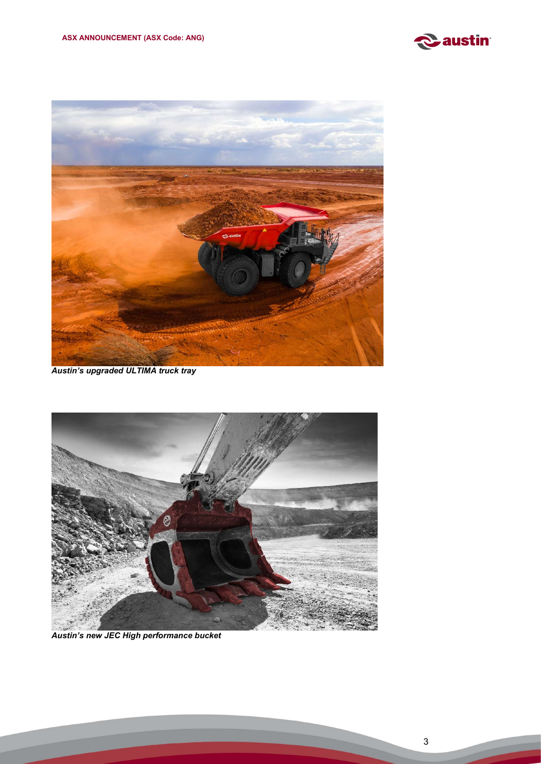



Austin's upgraded ULTIMA truck tray



Austin's new JEC High performance bucket

Í